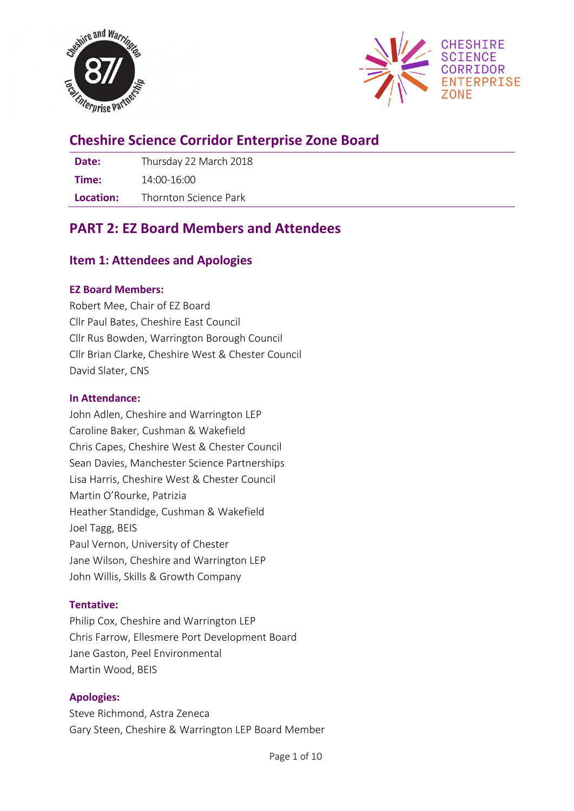



# **Cheshire Science Corridor Enterprise Zone Board**

**Date:** Thursday 22 March 2018 **Time:** 14:00-16:00 **Location:** Thornton Science Park

# **PART 2: EZ Board Members and Attendees**

# **Item 1: Attendees and Apologies**

## **EZ Board Members:**

Robert Mee, Chair of EZ Board Cllr Paul Bates, Cheshire East Council Cllr Rus Bowden, Warrington Borough Council Cllr Brian Clarke, Cheshire West & Chester Council David Slater, CNS

## **In Attendance:**

John Adlen, Cheshire and Warrington LEP Caroline Baker, Cushman & Wakefield Chris Capes, Cheshire West & Chester Council Sean Davies, Manchester Science Partnerships Lisa Harris, Cheshire West & Chester Council Martin O'Rourke, Patrizia Heather Standidge, Cushman & Wakefield Joel Tagg, BEIS Paul Vernon, University of Chester Jane Wilson, Cheshire and Warrington LEP John Willis, Skills & Growth Company

# **Tentative:**

Philip Cox, Cheshire and Warrington LEP Chris Farrow, Ellesmere Port Development Board Jane Gaston, Peel Environmental Martin Wood, BEIS

# **Apologies:**

Steve Richmond, Astra Zeneca Gary Steen, Cheshire & Warrington LEP Board Member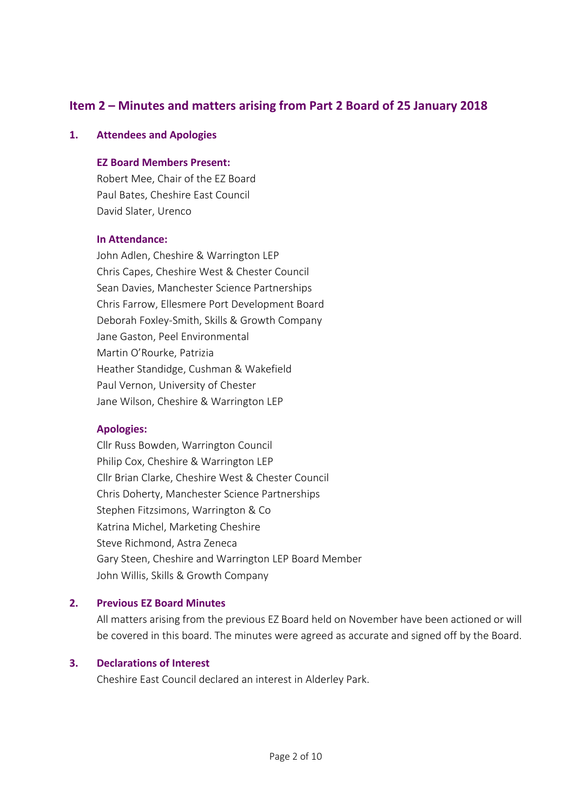# **Item 2 – Minutes and matters arising from Part 2 Board of 25 January 2018**

#### **1. Attendees and Apologies**

#### **EZ Board Members Present:**

Robert Mee, Chair of the EZ Board Paul Bates, Cheshire East Council David Slater, Urenco

#### **In Attendance:**

John Adlen, Cheshire & Warrington LEP Chris Capes, Cheshire West & Chester Council Sean Davies, Manchester Science Partnerships Chris Farrow, Ellesmere Port Development Board Deborah Foxley-Smith, Skills & Growth Company Jane Gaston, Peel Environmental Martin O'Rourke, Patrizia Heather Standidge, Cushman & Wakefield Paul Vernon, University of Chester Jane Wilson, Cheshire & Warrington LEP

#### **Apologies:**

Cllr Russ Bowden, Warrington Council Philip Cox, Cheshire & Warrington LEP Cllr Brian Clarke, Cheshire West & Chester Council Chris Doherty, Manchester Science Partnerships Stephen Fitzsimons, Warrington & Co Katrina Michel, Marketing Cheshire Steve Richmond, Astra Zeneca Gary Steen, Cheshire and Warrington LEP Board Member John Willis, Skills & Growth Company

## **2. Previous EZ Board Minutes**

All matters arising from the previous EZ Board held on November have been actioned or will be covered in this board. The minutes were agreed as accurate and signed off by the Board.

#### **3. Declarations of Interest**

Cheshire East Council declared an interest in Alderley Park.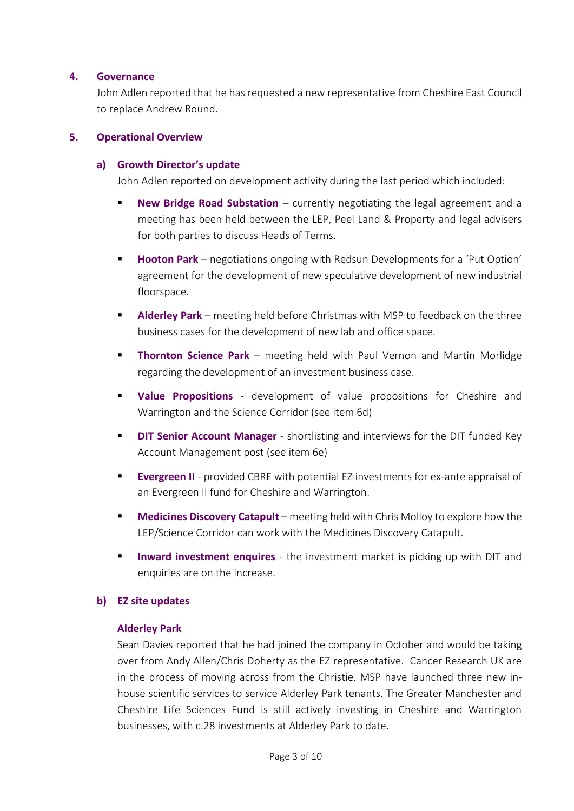#### **4. Governance**

John Adlen reported that he has requested a new representative from Cheshire East Council to replace Andrew Round.

#### **5. Operational Overview**

#### **a) Growth Director's update**

John Adlen reported on development activity during the last period which included:

- **New Bridge Road Substation** currently negotiating the legal agreement and a meeting has been held between the LEP, Peel Land & Property and legal advisers for both parties to discuss Heads of Terms.
- **Hooton Park** negotiations ongoing with Redsun Developments for a 'Put Option' agreement for the development of new speculative development of new industrial floorspace.
- **EXP** Alderley Park meeting held before Christmas with MSP to feedback on the three business cases for the development of new lab and office space.
- **Thornton Science Park** meeting held with Paul Vernon and Martin Morlidge regarding the development of an investment business case.
- **Value Propositions** development of value propositions for Cheshire and Warrington and the Science Corridor (see item 6d)
- **DIT Senior Account Manager** shortlisting and interviews for the DIT funded Key Account Management post (see item 6e)
- **Evergreen II** provided CBRE with potential EZ investments for ex-ante appraisal of an Evergreen II fund for Cheshire and Warrington.
- **Medicines Discovery Catapult** meeting held with Chris Molloy to explore how the LEP/Science Corridor can work with the Medicines Discovery Catapult.
- **Inward investment enquires** the investment market is picking up with DIT and enquiries are on the increase.

## **b) EZ site updates**

#### **Alderley Park**

Sean Davies reported that he had joined the company in October and would be taking over from Andy Allen/Chris Doherty as the EZ representative. Cancer Research UK are in the process of moving across from the Christie. MSP have launched three new inhouse scientific services to service Alderley Park tenants. The Greater Manchester and Cheshire Life Sciences Fund is still actively investing in Cheshire and Warrington businesses, with c.28 investments at Alderley Park to date.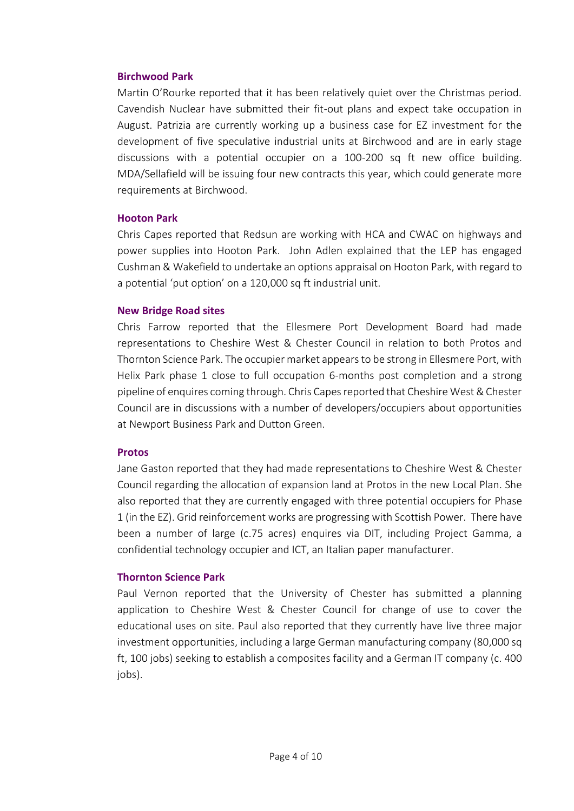#### **Birchwood Park**

Martin O'Rourke reported that it has been relatively quiet over the Christmas period. Cavendish Nuclear have submitted their fit-out plans and expect take occupation in August. Patrizia are currently working up a business case for EZ investment for the development of five speculative industrial units at Birchwood and are in early stage discussions with a potential occupier on a 100-200 sq ft new office building. MDA/Sellafield will be issuing four new contracts this year, which could generate more requirements at Birchwood.

#### **Hooton Park**

Chris Capes reported that Redsun are working with HCA and CWAC on highways and power supplies into Hooton Park. John Adlen explained that the LEP has engaged Cushman & Wakefield to undertake an options appraisal on Hooton Park, with regard to a potential 'put option' on a 120,000 sq ft industrial unit.

#### **New Bridge Road sites**

Chris Farrow reported that the Ellesmere Port Development Board had made representations to Cheshire West & Chester Council in relation to both Protos and Thornton Science Park. The occupier market appears to be strong in Ellesmere Port, with Helix Park phase 1 close to full occupation 6-months post completion and a strong pipeline of enquires coming through. Chris Capes reported that Cheshire West & Chester Council are in discussions with a number of developers/occupiers about opportunities at Newport Business Park and Dutton Green.

#### **Protos**

Jane Gaston reported that they had made representations to Cheshire West & Chester Council regarding the allocation of expansion land at Protos in the new Local Plan. She also reported that they are currently engaged with three potential occupiers for Phase 1 (in the EZ). Grid reinforcement works are progressing with Scottish Power. There have been a number of large (c.75 acres) enquires via DIT, including Project Gamma, a confidential technology occupier and ICT, an Italian paper manufacturer.

## **Thornton Science Park**

Paul Vernon reported that the University of Chester has submitted a planning application to Cheshire West & Chester Council for change of use to cover the educational uses on site. Paul also reported that they currently have live three major investment opportunities, including a large German manufacturing company (80,000 sq ft, 100 jobs) seeking to establish a composites facility and a German IT company (c. 400 iobs).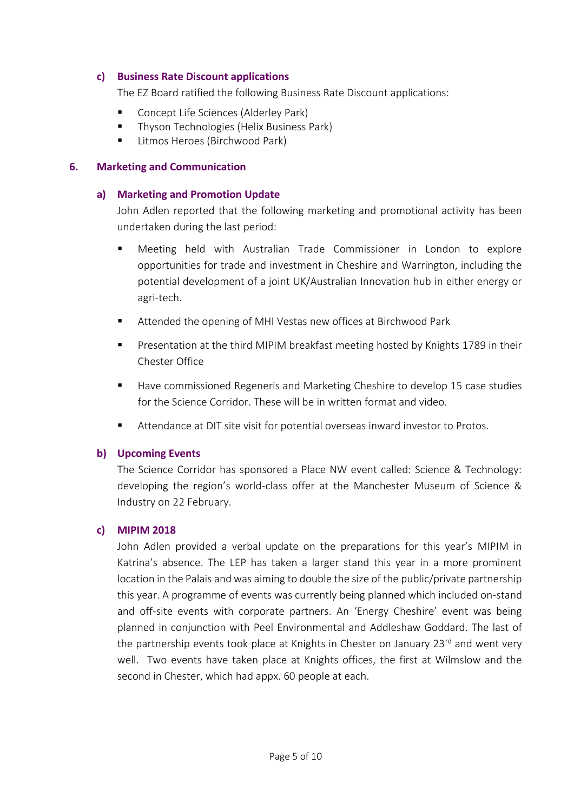#### **c) Business Rate Discount applications**

The EZ Board ratified the following Business Rate Discount applications:

- Concept Life Sciences (Alderley Park)
- Thyson Technologies (Helix Business Park)
- Litmos Heroes (Birchwood Park)

#### **6. Marketing and Communication**

#### **a) Marketing and Promotion Update**

John Adlen reported that the following marketing and promotional activity has been undertaken during the last period:

- Meeting held with Australian Trade Commissioner in London to explore opportunities for trade and investment in Cheshire and Warrington, including the potential development of a joint UK/Australian Innovation hub in either energy or agri-tech.
- Attended the opening of MHI Vestas new offices at Birchwood Park
- Presentation at the third MIPIM breakfast meeting hosted by Knights 1789 in their Chester Office
- Have commissioned Regeneris and Marketing Cheshire to develop 15 case studies for the Science Corridor. These will be in written format and video.
- Attendance at DIT site visit for potential overseas inward investor to Protos.

## **b) Upcoming Events**

The Science Corridor has sponsored a Place NW event called: Science & Technology: developing the region's world-class offer at the Manchester Museum of Science & Industry on 22 February.

#### **c) MIPIM 2018**

John Adlen provided a verbal update on the preparations for this year's MIPIM in Katrina's absence. The LEP has taken a larger stand this year in a more prominent location in the Palais and was aiming to double the size of the public/private partnership this year. A programme of events was currently being planned which included on-stand and off-site events with corporate partners. An 'Energy Cheshire' event was being planned in conjunction with Peel Environmental and Addleshaw Goddard. The last of the partnership events took place at Knights in Chester on January 23<sup>rd</sup> and went very well. Two events have taken place at Knights offices, the first at Wilmslow and the second in Chester, which had appx. 60 people at each.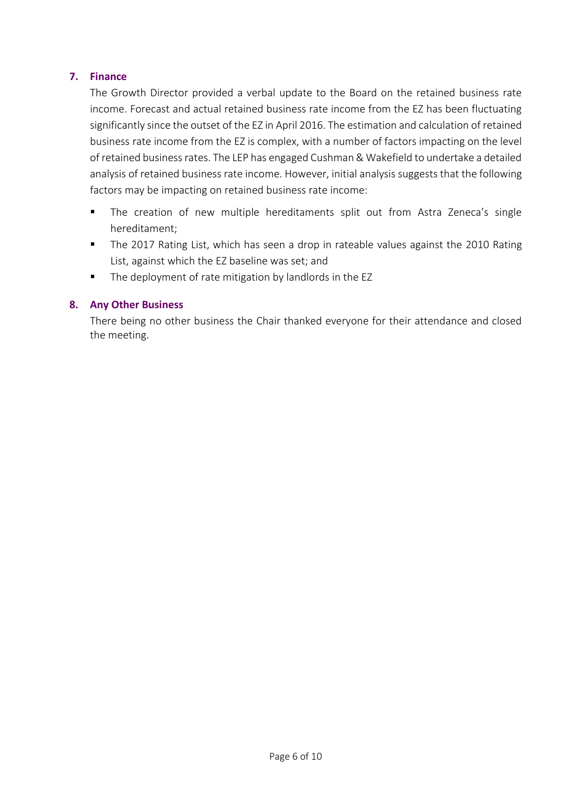## **7. Finance**

The Growth Director provided a verbal update to the Board on the retained business rate income. Forecast and actual retained business rate income from the EZ has been fluctuating significantly since the outset of the EZ in April 2016. The estimation and calculation of retained business rate income from the EZ is complex, with a number of factors impacting on the level of retained business rates. The LEP has engaged Cushman & Wakefield to undertake a detailed analysis of retained business rate income. However, initial analysis suggests that the following factors may be impacting on retained business rate income:

- The creation of new multiple hereditaments split out from Astra Zeneca's single hereditament;
- The 2017 Rating List, which has seen a drop in rateable values against the 2010 Rating List, against which the EZ baseline was set; and
- The deployment of rate mitigation by landlords in the EZ

## **8. Any Other Business**

There being no other business the Chair thanked everyone for their attendance and closed the meeting.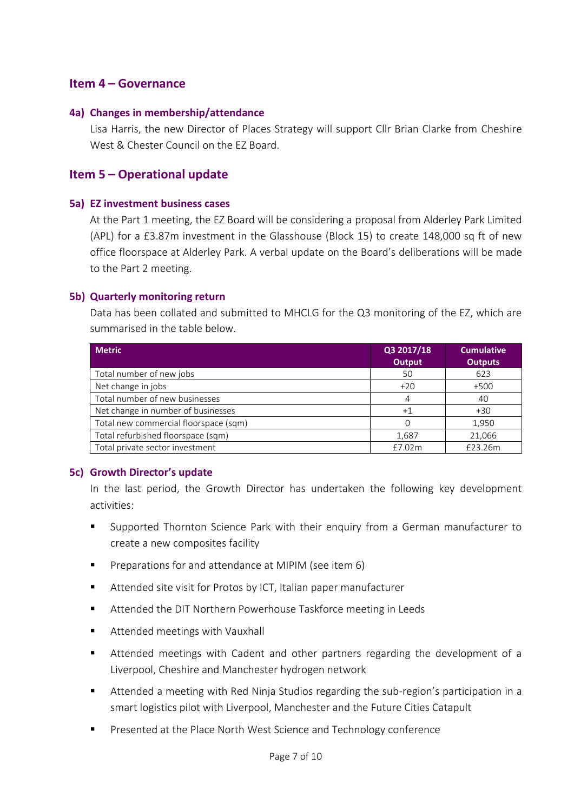# **Item 4 – Governance**

#### **4a) Changes in membership/attendance**

Lisa Harris, the new Director of Places Strategy will support Cllr Brian Clarke from Cheshire West & Chester Council on the EZ Board.

# **Item 5 – Operational update**

#### **5a) EZ investment business cases**

At the Part 1 meeting, the EZ Board will be considering a proposal from Alderley Park Limited (APL) for a £3.87m investment in the Glasshouse (Block 15) to create 148,000 sq ft of new office floorspace at Alderley Park. A verbal update on the Board's deliberations will be made to the Part 2 meeting.

## **5b) Quarterly monitoring return**

Data has been collated and submitted to MHCLG for the Q3 monitoring of the EZ, which are summarised in the table below.

| <b>Metric</b>                         | Q3 2017/18<br><b>Output</b> | <b>Cumulative</b><br><b>Outputs</b> |
|---------------------------------------|-----------------------------|-------------------------------------|
| Total number of new jobs              | 50                          | 623                                 |
| Net change in jobs                    | $+20$                       | $+500$                              |
| Total number of new businesses        | 4                           | 40                                  |
| Net change in number of businesses    | $+1$                        | $+30$                               |
| Total new commercial floorspace (sqm) |                             | 1,950                               |
| Total refurbished floorspace (sqm)    | 1,687                       | 21,066                              |
| Total private sector investment       | £7.02m                      | £23.26m                             |

#### **5c) Growth Director's update**

In the last period, the Growth Director has undertaken the following key development activities:

- Supported Thornton Science Park with their enquiry from a German manufacturer to create a new composites facility
- Preparations for and attendance at MIPIM (see item 6)
- Attended site visit for Protos by ICT, Italian paper manufacturer
- Attended the DIT Northern Powerhouse Taskforce meeting in Leeds
- Attended meetings with Vauxhall
- Attended meetings with Cadent and other partners regarding the development of a Liverpool, Cheshire and Manchester hydrogen network
- Attended a meeting with Red Ninja Studios regarding the sub-region's participation in a smart logistics pilot with Liverpool, Manchester and the Future Cities Catapult
- Presented at the Place North West Science and Technology conference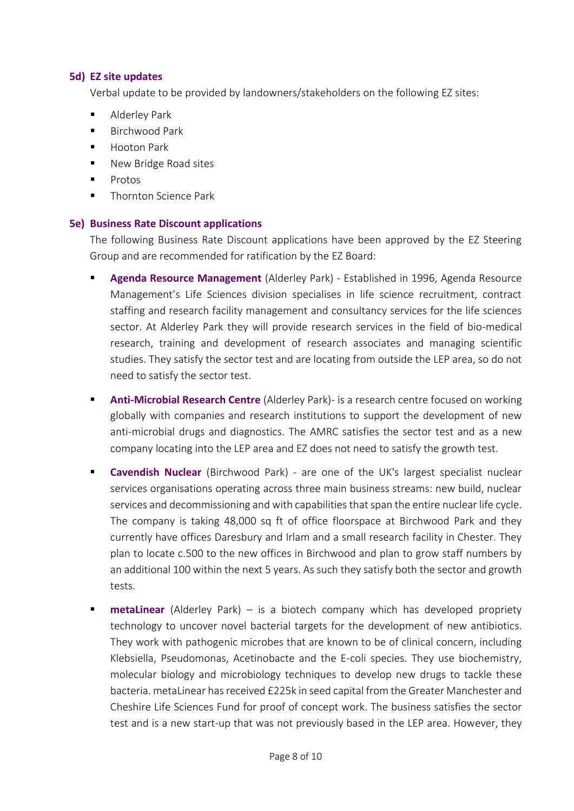#### **5d) EZ site updates**

Verbal update to be provided by landowners/stakeholders on the following EZ sites:

- Alderley Park
- Birchwood Park
- Hooton Park
- New Bridge Road sites
- Protos
- Thornton Science Park

#### **5e) Business Rate Discount applications**

The following Business Rate Discount applications have been approved by the EZ Steering Group and are recommended for ratification by the EZ Board:

- Agenda Resource Management (Alderley Park) Established in 1996, Agenda Resource Management's Life Sciences division specialises in life science recruitment, contract staffing and research facility management and consultancy services for the life sciences sector. At Alderley Park they will provide research services in the field of bio-medical research, training and development of research associates and managing scientific studies. They satisfy the sector test and are locating from outside the LEP area, so do not need to satisfy the sector test.
- Anti-Microbial Research Centre (Alderley Park)- is a research centre focused on working globally with companies and research institutions to support the development of new anti-microbial drugs and diagnostics. The AMRC satisfies the sector test and as a new company locating into the LEP area and EZ does not need to satisfy the growth test.
- **Cavendish Nuclear** (Birchwood Park) are one of the UK's largest specialist nuclear services organisations operating across three main business streams: new build, nuclear services and decommissioning and with capabilities that span the entire nuclear life cycle. The company is taking 48,000 sq ft of office floorspace at Birchwood Park and they currently have offices Daresbury and Irlam and a small research facility in Chester. They plan to locate c.500 to the new offices in Birchwood and plan to grow staff numbers by an additional 100 within the next 5 years. As such they satisfy both the sector and growth tests.
- **metaLinear** (Alderley Park) is a biotech company which has developed propriety technology to uncover novel bacterial targets for the development of new antibiotics. They work with pathogenic microbes that are known to be of clinical concern, including Klebsiella, Pseudomonas, Acetinobacte and the E-coli species. They use biochemistry, molecular biology and microbiology techniques to develop new drugs to tackle these bacteria. metaLinear has received £225k in seed capital from the Greater Manchester and Cheshire Life Sciences Fund for proof of concept work. The business satisfies the sector test and is a new start-up that was not previously based in the LEP area. However, they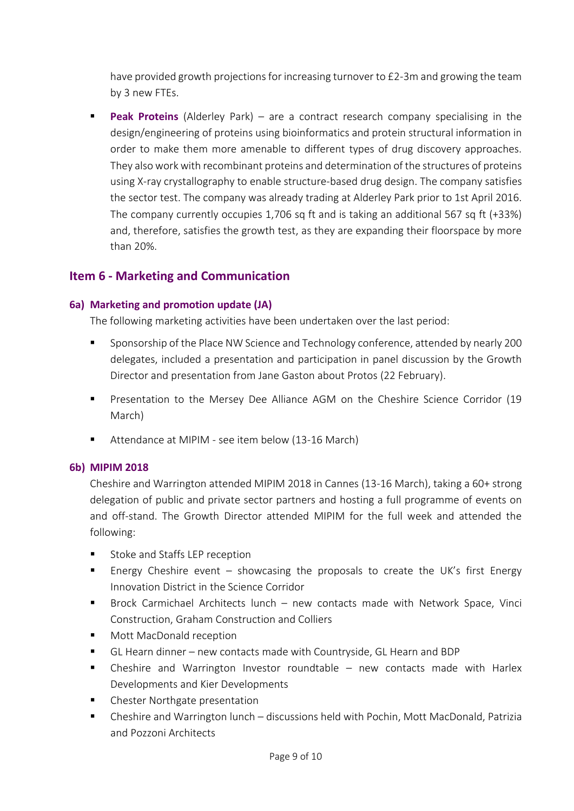have provided growth projections for increasing turnover to £2-3m and growing the team by 3 new FTEs.

**Peak Proteins** (Alderley Park) – are a contract research company specialising in the design/engineering of proteins using bioinformatics and protein structural information in order to make them more amenable to different types of drug discovery approaches. They also work with recombinant proteins and determination of the structures of proteins using X-ray crystallography to enable structure-based drug design. The company satisfies the sector test. The company was already trading at Alderley Park prior to 1st April 2016. The company currently occupies 1,706 sq ft and is taking an additional 567 sq ft (+33%) and, therefore, satisfies the growth test, as they are expanding their floorspace by more than 20%.

# **Item 6 - Marketing and Communication**

## **6a) Marketing and promotion update (JA)**

The following marketing activities have been undertaken over the last period:

- Sponsorship of the Place NW Science and Technology conference, attended by nearly 200 delegates, included a presentation and participation in panel discussion by the Growth Director and presentation from Jane Gaston about Protos (22 February).
- Presentation to the Mersey Dee Alliance AGM on the Cheshire Science Corridor (19 March)
- Attendance at MIPIM see item below (13-16 March)

## **6b) MIPIM 2018**

Cheshire and Warrington attended MIPIM 2018 in Cannes (13-16 March), taking a 60+ strong delegation of public and private sector partners and hosting a full programme of events on and off-stand. The Growth Director attended MIPIM for the full week and attended the following:

- Stoke and Staffs LEP reception
- **Energy Cheshire event showcasing the proposals to create the UK's first Energy** Innovation District in the Science Corridor
- Brock Carmichael Architects lunch new contacts made with Network Space, Vinci Construction, Graham Construction and Colliers
- Mott MacDonald reception
- GL Hearn dinner new contacts made with Countryside, GL Hearn and BDP
- Cheshire and Warrington Investor roundtable new contacts made with Harlex Developments and Kier Developments
- Chester Northgate presentation
- Cheshire and Warrington lunch discussions held with Pochin, Mott MacDonald, Patrizia and Pozzoni Architects